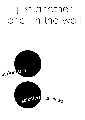# just another brick in the wall



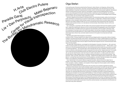

### Olga Stefan

Ciprian Muresan and a few others, have been received enthusiastically on the international art scene, with major exhibitions in important museums and art centers, and/or commercial success in galleries. International interest in the Romanian art scene, which for most western curators and art professionals who visit the country only entails appointments with individual artists or speaking to particular gallerists, has increased exponentially too. But a survey of the activity on the local level, or an analysis of the strategies used to develop the local context, has not yet been made outside the country.

Romania, despite some successes of individual artists in the international market, suffers from the lack of a public interested in contemporary art, the lack of internal state, or independent, institutions that fund artistic production, and an inexistent market willing to sustain the local art activity. Such a context makes it extremely difficult for any artistic initiative to take root, so it is no surprise that most of those that do last more than a couple of years operate entirely on an international commercial basis. Nevertheless, they are not the only models that exist…

So, in writing this, I would like to offer the reader a few practical questions that frame this exhibition and the topic, maybe even widening the relevance of such an exercise beyond the geographic area of the exhibition. Just Another Brick in the Wall functions as a space for the examination of the art system in Romania: what is it composed of, how does it work, who are the main players, how are they connected, what are the power structures and how do alternatives form, what models currently exist that try to shape and change the scene, what impact does criticism have, and what needs to be done for the system to be improved and made functional?

But what is this system that we speak so much about?

As early as 1964, in trying to explain the art object and its privileged position among other millions of objects created or manufactured everyday, Arthur Danto<sup>1</sup> showed that the art object is differentiated from these others only through the acceptance of an exclusive group of experts that use a theoretical position that belongs only to them, thus limiting the reach of the art object to those few that recognize it as such. And this exclusive realm was to him the artworld.

Ten years later, Howard Becker, a sociologist from Northwestern University in Evanston, IL, USA, went even further in trying to explain how artworks come to be accepted and understood as such. "…What is taken, in any world of art, to be the quintessential artistic act, the act whose performance marks one as an artist, is a matter of consensual definition."<sup>2</sup> He revived the idea, which had died with the rise of capitalism, that the production of art is a collective undertaking that includes in equal parts the artist and the "support personnel", the usually more or less anonymous specialized workers who either produce the object through their masterful use of, uhh, can we even utter the word, craft, then bring it to market, write about it, or create a public who views it. And this division of labor, Becker writes, is necessary, because one person just cannot be everything – idea generator, maker, promoter, sales-person, and public – despite the boundless powers invested in the "artist as genius", a concept that came to prominence in the Renaissance, and which has been the basis of the capitalist system, encouraging firm individuality and sometimes leading to a cult of personality.

As an inherent part of the artwork, Becker recognizes the public, without which the art object has no purpose. The art object must be consumed for it to be produced. For Becker, all these individuals engaged in the conception, creation, mediation, and reception of the art object form the art system, which in fact is a series of networks and collaborations.

Becker also understood that to bring the work to life, the artist must constantly negotiate the existing conventions of the artworld, which exist to facilitate reception of the artwork, but which can also limit creativity. The rejection of those conventions often forces the artist to sacrifice acceptance for artistic freedom, and the artist must find alternative ways of producing and distributing (or exhibiting) the work, which is more often than not, extremely difficult and time-consuming. For example, the Center for Visual Introspection is exhibiting documentation from the project Self-Publishing in Times of Freedom and Repression, exploring self-publishing as a form of resistance to the censorship regulations that writers had to accept to get their work published through traditional channels during communism, but also the self-censorship that is frequent in democracies. And similarly the Center for Art Analysis/Contemporary Art Archive, Lia Perjovschi's life project, has avoided becoming a legally defined institution specifically because she understood the restrictions on her activity that this transformation would entail. And yet her activity has been more important to the Romanian art scene than many other institutions'.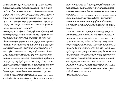So when we speak of "alternative" we might refer to a platform of critique of the capitalist system, on which the art system is based, from which we can offer differing models of creation and distribution, which don't depend on the creation of objects that are bought and sold through established channels, or that are funded by established institutions endowed with power to control. On the other hand, we might also be referring to different ways of organizing and controlling income from sales, not in rejection of capitalism, but rather by utilizing it to self-empower. An example of this would be Plan B Gallery, an artist-run space turned commercial gallery, exhibiting mainly Romanian artists at international fairs, and whose activity has been essential to the current popularity of Romanian artists abroad.

Interestingly enough, these broken conventions can become, with time, new conventions within the artworld, so "the alternative" becomes itself an accepted model either functioning within the system, or taking over, and becoming the system itself. Marcel Duchamp's transformation of a commercial good ("Fountain") into an art object by "choosing" it rather than making it, and of course changing its context, was misunderstood at the time as a meditation on form, but even this aesthetic interpretation changed the conventions of art at the beginning of the 20th century. Many decades later Andy Warhol established the idea, originated by Duchamp, of "artist as chooser" not "maker", when he exhibited real cardboard Brillo Boxes, shipped directly from the Brillo factory, at the Moderna Museet in Stockholm. These changes in convention, i.e. the moving away from object into the realm of concept, have become the foundations of contemporary art, and with that have also had a negative effect on the public's understanding and acceptance of what contemporary art is, making it accessible to increasingly fewer people, as Danto explained.

Similarly, it can be argued that art spaces operating independently, without funding from entities that may influence their programming, also operate outside the reach of the general public, in part due to their budget restraints and sometimes in part due to the hermetic nature of their programming and theoretical discourse. This is obviously problematic as the lack of a public makes their work only relevant to the few artworld insiders that understand it, and have the power to decide whether or not those projects should be supported. So ultimately, the independent projects end up becoming dependent on exactly those parties that they want independence from, and are thus absorbed into the system of the artworld. Or, the independent projects' importance is recognized by the artworld insiders and with time these projects become more and more settled until finally changing into institutions, thereby becoming a part of the establishment and even attracting a larger audience in the process. This might be the case soon enough with Club Electro Putere, whose platform takes locally created projects to international locations to promote contemporary Romanian art outside the country.

It is with regard to these ideas that I approached Just Another Brick in the Wall. The title comes from the Pink Floyd song off the band's 1979 album. A strong protest song, it was originally written against what was perceived as the mind-controlling system of British education. Roger Waters, who wrote the song, said in 2009, "The song is meant to be a rebellion against errant government, against people who have power over you, who are wrong.» But it can very well apply to the art system, with the wall representing the system itself, seemingly solid and unbreakable, composed of elements that connected together reinforce it, that once removed or damaged, fundamentally subvert the structure, possibly leading to its collapse. As Becker discussed, the art system is a network of many people collaborating to create the work of art – but in Romania, where this wall is not completely formed and collaboration is still not a generally utilized strategy, can small subversions actually lead to the need for reconstruction? Indeed, the question remains: what is the impact that small subversions actually have, especially if these small subversions reach a limited public?

We can look for possible answers to the recent social movements taking place in Europe, in Arab countries, and in the US. In the latter, what initially started as a small protest against Wall Street corruption and power (Occupy Wall Street) that very few people paid any attention to has astonishingly galvanized into an international outburst of solidarity with the spirit of the movement, getting larger and larger and louder and louder, until finally becoming a force to be reckoned with. In certain countries, where the protests have been the most massive and the economic situation the most fragile, governments even fell. As this is being written, new governments in Italy and Greece are being formed. Spain will follow. And yet, these new governments will operate within the existing system, not outside. They will make changes that will fall in line with accepted economic and political models, maybe cleaning up along the way. It remains to be seen what will happen to the new governments forming in Arab countries, and what systems they choose.

Even in the Unites States, the Occupy movement, which has become an international brand by now, seems to be negotiating existing conventions, not calling for new ones. In light of the demands that Occupy Wall Street developed as a response to criticisms of a lack of platform, it becomes clear that the movement seeks a system adjustment inspired by America's own history, making "change" a much more possible undertaking.

This general acceptance of capitalism as an appropriate economic model, if only with certain alterations to give it a more human face, forces us to re-evaluate our understanding of this alternative we aspire to, and its position in this system. Can non-commercial collaborative strategies and the creation of networks function as counter measures to the existing model of art production in Romania based on the commodification of the artistic act and the individualism that characterizes most artists? And would these strategies result in the establishment of a new model, or would they just coexist with the traditional models? But how can these models survive with few sources of revenue and little public? Or is the fate of alternative models of production to exist in a constant state of flux, changing and morphing from one incarnation to another, in constant reaction to the establishment?

As a nod to these issues, Just Another Brick in the Wall doesn't actually feature objects made by individual artists, curated in the traditional way, by the curator functioning as exclusive selector, with all the power associations that that role assumes. Rather, I offered a platform to a large number of different groups, organized in different ways, working in different parts of the country, to contribute projects completed in a collective manner, through the networks that they are creating in Romania, but also by expressing their opposition to other models that share the same space. The fact that only seven projects are actually participating in this exhibition highlights the benefits, but also the limitations of collaboration, even in such a narrow field as the art world in Romania. And this self-selection very clearly responds to the importance of networks – who works with whom, and who rejects collaborating with whom, and how these choices impact the art scene.

If there's any benefit to the confusion and instability of the system in Romania, it's that it can still be shaped and moulded by its actors into something that allows for a plurality of models to coexist and thrive, and for networks to coalesce into a foundation on which to continue building and remodelling through trial and error. In the last few years unchecked capitalism in Romania has been driving many into extreme poverty, and dissatisfaction - with the system, politicians, corruption - is making more and more people nostalgic for the times of communism when the state at least provided for the population. Therefore support for alternative models of artistic production should be lauded and supported as viable alternatives to capitalism. But contemporary art is not seen as a necessary part of society in this country, and there are other issues considered much more pressing when large numbers of the population lives in poverty, and institutions like health and education are in shambles, especially in the rural areas. Contemporary art is seen as the occupation of some crazy kids that not even the wealthy and educated understand or consider relevant. With 92% of the population declaring itself religious and having a strong inclination towards conservatism, it is of little wonder how truly peripheral contemporary art, and its tendency for criticality, is in Romania.

Maybe it is in part also due to this reality that so many of the groups that operate in Romania in opposition to the "system" also have a socially activist facet, tackling social issues in an engaging fashion, through public projects and research, rather than through the creation of objects. For example, h.arta's work examines local social issues and tries to reach exactly those individuals most affected by the topics, engaging them in the discussions and debates they propose. The Bureau for Melodramatic Research has done projects with the elderly, opening up themselves up to a new public, while addressing issues relevant to that group.

Or maybe this methodology is a practical form of resistance and subversion, while also being more inclusive of people with no training in art, the public that is otherwise missing. Bringing art to the people rather than waiting for people to come ot the art. ParadisGaraj hosted its events in an actual garage in the middle of Bucharest, welcoming everyone that had the slightest curiosity to enter, from passers-by to mountaineers, and from students to the neighbors.

In the interviews that follow, some of the participants in this exhibition, and some others who have had an important role in the Romanian art scene, speak about their methods, how they see their role as artists, their public, and how they make ends meet. Maybe through their actions and collaborative methods they will turn small subversions into cracks in the system and thus with time transform the Romanian cultural landscape into one supporting a plurality of models which work together to create a more important role among the Romanian public for contemporary art and culture in the years ahead.

1 Danto, Arthur, "The Artworld", 1964

2 Becker, Howard, "Art as Collective Action", 1974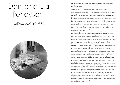## Dan and Lia Perjovschi Sibiu/Bucharest



OS You have been a fundamental part of Romania's burgeoning post-'89 art scene as artists, but also as activists. What were the challenges you faced before '89 and what were the challenges after?

LP Before '89, the stillness of a closed society, the lack of freedom and lack of perspective... After '89, the noise, the chaotic movement (from communism to capitalism).

DP Before '89, it was basic survival. After '89, it is about managing and maintaining freedom of expression. First the scene went neo-orthodox and now it is a full art market. We had priests at the openings, now we have DJs.

OS Your practice has always been political. Who is your public? What would you have liked your work to achieve? Do you feel it has?

LP I address people like myself. I am interested in new possibilities, in what is different, honest. (I think I made a bit of a difference in the context in which I was moving.)

DP I have a political agenda and a political placement (at a political, independent think-tank magazine as a job, no function or position in any state or private art institution, and make un-collectible works). But I am a commentator, I am not in the avant-garde, Lia is. She is revolutionary, she is changing the scene. I adapt to the scene. I function in a pre-established system finding its blind spots or cracks and than reinventing expression where it was just conformism. My work is about keeping you aware. I work with news, the quotidian, and humor. I think I did what I wanted. Big time.

OS Rampant capitalism and consumerism has taken root in Romania. How has the political and economic system-change impacted Romania's artists and art scene? LP In the same way that it impacts the entire society: by altering high ambitions,

fragmenting, inverting values, transforming the citizen into amateur actors. Commercial art is dominant, resistance is a result of this situation, not an attitude (with a few exceptions).

DP We live the paradox of an overblown, ultra-hip art market in a context with no funds, grants, or basic artist institutions. Everybody outside (of the country) is excited, everybody inside is depressed. Research, experiment and critical attitudes are postponed or accidental. The Romanian art scene lives the moment, the past is foggy and the future, unclear.

OS What do you feel are the most pressing societal problems in contemporary Romania and how are these problems affecting the cultural/artistic realm?

LP The lack of contemporary culture and a perspective that leads to the ability of having the right institutions, plan, strategies and effect.

DP Poverty, inequality, vulgarity, the tabloid social life and the education mess-up. We are a second hand society with dreams replaced by plastic copies. We cannot aggregate. But we are the masters of self-deprecation and constant complaining. We do nothing but talk.

OS Do you feel that artists growing up post '89 also have a responsibility to comment on political, social, and economic issues? What can we hope would be the result of their activism?

LP We all have our effect on society (whether we intend it or not). It's not a special moment when you get involved. Society looks how it looks also because of the new generations. DP Every artist must have it. If one sets out to just produce nice objects (sculptures, tea-pots, oil paintings or videos) he can simply call himself a designer. The artist must be somebody who combines thinking, craft, criticality and an intellectual attitude. We are the whistle blower badly needed in a conformist and consumerist society.

OS What has been one of your most consistent critiques in the last 21 years in Romania, and one that you feel is still relevant today?

LP In general I am for engagement (with responsibility) for a better society for all. In art in particular, I am for state institutions to have at the very least a minimum budget for contemporary art and professional criteria in a global context. Education (with empathy and modesty) is the key word.

DP The egoism, the lack of a grand vision and long term planning. The self-indulgence and the lack of pride. Good enough is not good enough. One should seek excellence in art, administration and economy.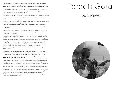OS I have admired your tenacity and your dedication since I met the both of you for the first time in 2001. From the outside your impact on the art and intellectual community in Romania is very evident. Do you feel your work and effort have made a difference, or are you discouraged?

LP Yes, as others have made an impact on me, I am sure I helped others in turn. (Also we have to be flexible and open to not make mistakes…things are in constant change, relative). DP I am discouraged but I am not stepping down.

OS What should Romania's art scene look like for it to be considered functional and stable? LP Autonomous, intelligent, courageous. The thing is not what work will fit the living room or the toilet of the collectors…but how we can help/contribute to our local/global context to become better.

DP Institutions and local funding. Regional museums of art must be reformed, curatorial positions updated, artistic research acknowledged and funded. We are good in exporting (ICR) but we ignore the production. This system cannot survive.

OS It has been discussed that the general public is largely absent from contemporary art events. Who is to blame for the lack of interest in art and culture? What is to be done (in Lenin's words…)

LP What do we give them? How? There is too much bad art. The producers and the mediators have to read a bit more, look around, relax (we are not exceptions, we have the chance to be visible), and be honest. They need to pay attention to what they really feel and not think about the general trend all the time.

DP In this order: institutions, directors and staff who were supposed to fight this problem, curators who ignore reality, artists with no clue about society, and last but not least the public itself. The white night of museums, galleries and now cultural institutions are zombifying events, showing very clearly how art is communicated, used and understood in a consumerist society. Nobody goes one year to visit museums and then suddenly everybody goes in one single night. What is to be done? Like what you do and understand your public. Never give up and constantly be open. Do not lie. Do not copy. Be sincere and focus. Use all the means at your disposal. Create coalitions (individuals, institutions, media and civic platforms). In other countries they made revolutions on Facebook. Why should we just exchange kitten pictures?

OS You have been instrumental in creating a coherent position of critique vis-à-vis the political and power structures in Romania from your studio in Bucharest and through the Contemporary Art Archive/Center for Art Analysis. Over the last two decades you hosted most of the foreign curators and art professionals coming to Romania at this studio. I feel this studio has an important historical position in the development of Romania's art scene. Tell me about CAA now and its future.

LP Being located in the center of the town, in the yard of the Art Academy Bucharest, and due to the general corruption and lack of vision for the future, we lost the space - the Art Academy took it (they want to establish an archive that they now know how to do…) For the past 10 years I have been looking for a public space for the archive to function without me. Instead of a public space, we understood that we have to go for a private one (we are building a small storage space in Sibiu). Parts from the archive are recycled into my Knowledge Museum project – I go where I am invited with a kit tailored to the different issues based on the interest of the host. The rest is in boxes. The CAA/CAA is becoming a nomad archive. It will take time to reorganise, reshape the whole data to be open again all the time to anyone…. (now we have to pay for the construction of the space). But who really needs to, finds the way to the information. DP CAA is Lia's business. She moved it to Sibiu. We are still elaborating what policy and practice should be implemented there.

# Paradis Garaj

### Bucharest

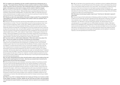OS You created a very interesting, and new, model for experiencing contemporary art: in a garage. The projects that you held there, and your practice overall, are critical of existing power structures in the art community. Tell us what particularly you oppose in the existing art system, what aspects you feel need to change, and who needs to make the changes.

PG We could say on a good day we try to establish direct links between Une Histoire du Paradis by Jean Delumeau (Fayard, 1992) and Mike Davis's and Daniel Bertrand Monk's Evil Paradises: Dreamworlds of Neoliberalism (The New Press, 2008). On a bad day we are just being contacted because rich gallery owners think they found a parking lot to park their fancy cars during rush hour in the busy Bucharest city center.

OS What do you feel is the responsibility of the artist in today's society? Do you feel that this responsibility can be carried out successfully in the context in which you operate? Tell us about the context…

PG We tend to discover one cannot use the word responsibility and success anymore in the same sentence or context. The more irresponsible you are the more success you have. If you mean success as measured in fame, money, glory, celebrity, visibility all that is very much about risk-free (just think of fiscal paradises) risk-taking, inside the current casino-economy. Systematic betting and systematic mismanagement of financial markets becomes a means for private profit and success. Also, during the state capitalism of the Ceausescu era, there was at least the recognition that what we are dealing with is plain propaganda. Now we all talk about veiled & elated notions of PR - public relations. Power brokers, 10 easy ways to influence rich people - these are all obligatory success stories of the present. We wouldn't be here talking to you if Bucharest Biennale wouldn't have transformed our dingy PG for a few weeks in a sort of caged paradise - the white cube with walled doors used as a screening wall.

### OS You are an artist-run, artist-funded collaborative. What role do each of you play in the team? How do you sustain your activities, and what are your future plans?

PG If you mean sustaining as funding, we would like to address the fact that we got strong support from such people as Dan and Lia Perjovschi, it is already a truism, but for PG their constant support was much more important than the Ministry of Culture, private funding, ICR put together. In a sense we think there is only a no-future plan available, and that is why we tried, rehearsed and re-enacted a lot of possible cataclysmic scenarios after September 11. We wanted to see how we were prepared for the worst, for austerity measures, for constant evacuation. We have also played upon media take-over urges, by inviting Bucharest TV stations to film each other and stage-in an empty PG because there was nothing else exciting to record. We also played the take-over of PG by rich collectors, invented a highly successful art school, illusory CVs and hyper-inflated market value. We were busy in archiving the doomed alternative and collecting evacuated spaces.

OS Your work, being political and critical, should be able to reach a wider audience than just artists and the usual suspects of art lovers. How have your projects been received by the general public and how have they translated?

PG We could say that we are more interested in perverting creativity, the wellness provided by art and culture and the depoliticising actions of art. We are interested in cultural money washing under corporate responsibility rules. As part of the general public we consider the following important (and forgotten) audience sections: mountain-climbers, nature lovers and Romanian folk singers - which are an untapped general public resource (at least for many art spaces). We were able to involve them in our actions, for example by inviting the unplugged folk band Kill My Enthusiasm and their friends. Another incredible collaboration was with young Romanian art history and art theory students, who usually are completely invisible from any contemporary art events. We ended washing dirty socks from foreign tourists doing art safaris in Bucharest.

OS What do you think is keeping Romania from having as thriving an art scene as other former Eastern European countries, despite the fact that there are quite a few abundantly rich individuals who spend lavishly on luxury goods, which art seems to be considered these days?

PG Well, art has been a luxury good from early on, and there is a boom in galleries offering just that. In Romania you can see the bare bones of the situation, while in other places they can just cover up the situation better and with not so many holes. The art-bubble is constantly bursting, and some of the most commercial, the most hyped up spaces started folding down. For example investing in young artists or street art at its apex was just that: a profitable hype, graffiti decorations for posh bars, filling up urban art festivals sponsored by energy drinks and making murals for the villas of rich local entrepreneurs.

#### OS What does a functioning art system mean to you? And how do "alternative" spaces fit within that?

PG We cannot ignore that the alternative is following a political remodeling. For the last couple of years the word 'alternate' has been hijacked by the far right groups in Romania, and used it as a website clone, an 'alternative' media against media activists such as The Romanian Indiemedia. The 'alternate' is now the overtly particularistic, the national patrimony, the culturally specific, our own against the non-differentiated mainstream invaders. Alternative stands for the marketable local, supported by a nativist anthropology, a new cover for the old racist and ethnicist identity politics. That is why our heuristics are based more on those without alternatives, the hyped precariousness, the highly dependent spaces even addictive spaces and hypnotic CVs. We follow the enthusiastic self-exploitation and the battles for hosting the Olympics, the next big festival and mammoth event.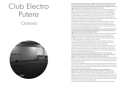# Club Electro Putere

### Craiova



OS You opened your exhibition venue in 2009 in Craiova in the former cultural center of the Electroputere factory, which until 89 was used to entertain the workers of the factory with various government-approved events that also functioned as tools of propaganda. Does this legacy play a role in your curatorial position? Explain your position.

CEP This legacy should implicitly play a part in all this. Some of our projects are related to the past and even to the past of the space that houses the centre CEP; this space suggestively illustrates what has happened to Romanian culture over the last years. In fact, a significant part of the Romanian art of the last twenty years has been influenced by the past and maybe in certain regards it is still connected to it (I'm referring here to the communist past). The Romanian culture has fed on what it inherited from the past, building its discourse against a traumatic, oppressive background and succeeding in developing an authentic cultural product that has been very well received on the Western artistic markets.

We analyzed all these issues concerning the legacies of the past and the artistic discourse, discussing them in detail not only in relation to the Romanian Cultural Resolution, on the occasions of all the exhibitions organized in Leipzig and Craiova, but also as expressed in the documentary project presented at the Venice Biennial this year. On the one hand they define our curatorial position but not entirely, just for this project.

OS Who or what do you feel played the most important role in kick-starting the development of an independent art scene? What does independent mean to you, by the way? And can organizations remain completely independent? How?

CEP A vital part was played by the initiatives of those who realized that there were no legitimate institutions that might produce and support contemporary art and who saw themselves obligated to invent them. It could be easily noticed that many institutions, especially those belonging to the state, have remained for the most part at the fringes of mainstream culture, simulating cultural events or serving some specific interests.

You could probably call yourself independent when you are not logistically or financially conditioned. Anyway there are a lot of things that can condition the artist and this status of independence can be properly negotiated according to these conditionings. In Romania private institutions that do not receive governmental funding enjoy this status. The

biggest pressure is the financial one; since there is so little money allotted to contemporary art through governmental programmes, most independent institutions look for sponsorship abroad and when you get money from abroad, independence is negotiated on different terms, the various conditionings change their nuances.

OS You introduced a new model of promoting Romanian artists – by bringing your exhibitions to other art centers in Europe: to Leipzig, to Venice…. How are your exhibitions received in Romania and do you have an existing public that supports you?

CEP At the end of 2009 when we drafted the first idea of the Club and of the Romanian Cultural Resolution project, the people involved in the Romanian artistic process were very active on the international stage and less active on the national stage. That is probably what happens today and it is something normal.

The national and international public of our centre is consistent but the national public is at the beginning of its formation. Any cultural institution grows together with its public, in relation with it, because this relation engenders an exchange that produces energy and sometimes imposes some regulations on quality and content.

OS From the outside, the Romanian art scene seems very active, interesting, and entrepreneurial. What do you think about the art scene in Romania? How do you see it? CEP Over the last years, initiatives have multiplied, many exhibition spaces or associations functioning in the artistic field have appeared and then disappeared but there are not too many definite and insightful positions. After all there are as many as needed or as they should be. The artistic stage here has evolved in a very organic way. The state did not offer any kind of strategy to facilitate the artistic development; there were only independent initiatives which contributed to what could be considered a possible artistic stage.

The help coming from the state and directed towards the sphere of plastic arts is very little.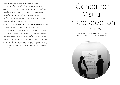### OS What would a functional and stable art system look like in Romania? Who is ultimately responsible for supporting its existence?

CEP I don't think that the dimensions of a national system could be that clearly defined. The relationship with other institutions and foreign artists, or the achievement of making yourself known abroad, has been and still is the most important thing for us. "System" is a big word. Generally speaking the Romanians are not too fond of systems, no matter what the nature of these systems might be, but they can easily adjust to them. The Romanian art centres or the private galleries that managed to acquire national and international success have been established and got integrated into something that already existed outside the borders of the country, they have progressively learned what has to be done in order to survive and evolve and, to support something that already existed. The responsibility belongs to all persons involved in this story, to Romanian contemporary art, to those who have contributed and still contribute to the unfolding of events in the sphere of visual arts.

OS Many art initiatives talk about developing an alternative to the mainstream system. What do you think they are referring to? What is the mainstream system in Romania and what would the alternative to that be? Where does Club Electro Putere fit in?

CEP Club Electro Putere is an independent space. In fact, the existing "mainstream system" is so shy that I do not think we can talk about such a difference related to contemporary art. The museums or the state institutions that produce artistic events do not compete with independent spaces. I do not think there has ever been such a competition. There is enough room for initiatives or institutions and this fact is probably not that common in Western Europe. If we were to talk about Club Electro Putere, its evolution happened in a very short period of time and even if we did not follow a particular model but we did everything our own way, we became the only Romanian institution that has attempted an analysis of Romanian contemporary art, an analysis which has already been legitimated by a large number of artists and curators through their participation in the project.

Whether mainstream or alternative, we have managed to create our own context, we have succeeded in consolidating a basis upon which we could build in the future and which might be a point of reference for other artists if they want to create a specific vision in Romanian contemporary art…

## Center for Visual Instrospection Bucharest

Alina Serban (AS) / Anca Benera (AB) Arnold Estefan (AE) / Catalin Rulea (CR)

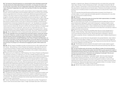OS The Centre for Visual Introspection is a cultural platform that undertakes projects that critically examine the relationship between art and public, art and power structures, and art and society, if put simply. CIV is an independent organization. What does independent mean in Romania? Independent from what? And how does CIV differ from other existing platforms?

AS One of the terms used by the non-profit cultural initiative is that of independent; however, this term, which primarily draws up the line between state and/or commercial culture and that driven by organizations from civil society, is particularly reflected and appropriated by each initiative. In the case of Centre for Visual Introspection, independent refers to our ability to act as agents in the public sphere and to freely express opinions and exercise our rights. What defines us is the format. Centre for Visual Introspection is the project of the curatorial collective p+4, founded by myself together with artists Anca Benera, Arnold Estefan and Catalin Rulea. We propose ourselves to avoid a certain type of institutional formalization characterized by the reproduction of previously checked discourses and to "risk" the adoption of a chameleon dimension, continuously adapted to the circumstances, particularities and limits of the Romanian social and cultural order. We wish to shift the role of the art institution on the Bucharest culture scene, by means of a systematic, clear and, why not, responsible discourse. The collective dimension of the centre has determined the quality of its programs which, I believe, generated a sharing space between different communities, discourses, intitiaves and people. AB & AE We are independent in terms of being self-funded, apolitical and non-commercial. OS CIV has undertaken some very ambitions and important projects, of particular interest to me are Ars Telefonica, a public art project that took place in telephone booths and also featured a series of lectures and discussions on the topic of art and the public and the theme's many dimensions, and Self-Publishing in the Times of Freedom and Repression, an examination of the history of self-publishing through the communist regime's censorship and the funding challenges of today. Have the projects brought about any concrete conclusions about the lack of funding for art in Romania and engaging the public? What needs to be done?

AB & AE We don't expect immediate concrete conclusions but aim to offer insights with long term results. "Self publishing in times of freedom and repression" discusses the new forms of censorship and freedom of speech today. We believe that samizdat publications, born in specific oppressive contexts, might shed some new light on the condition of self-publishing today, on its present forms and challenges.

AS Projects such as Ars Telefonica or Self-Publishing in the Times of Freedom and Repression were naturally conceived in our attempt to turn CIV into a mediator between artistic and curatorial discourses and the public sphere, between various regional histories and institutional strategies. In our activity, recovery, integration and comparison are constant processes in a collective project aiming to personalize critical effort and to liberate itself from under a holistic vision of culture. Concret conclusions…? I guess we cannot talk so much about accountability when speaking about culture. Of course, there are experiences which can be fruitful for future approaches when dealing with public sphere or public funding. Transparency and civic dialogue are key-concepts in succeeding to change the public funding system and the perception on the legitimate role of art institution as a space for social action, where both actors – us, as the art scene, and them as implementers of cultural policies are in a permanent communication. OS What do you see as the most critical problem in Romania's cultural realm? Where does the stagnation and inertia lie? What is keeping the system from changing?

AS The weakness of the independent cultural scene in Romania is caused by its isolation and lack of dialogue among the several actors of the scene. Isolation is reflected by an atomized cultural production, where each initiative acts almost without any interest in collaboration or co-production. This attitude contributes to the minimal impact that this scene has upon those creators of public cultural policies.

CR "Culture" has different levels in Romania as in so many other countries. The segment of culture in which we are active doesn't have a "mirage" like theater does have in Romania for example, or classical music. Museum of Contemporary Art is not central, like in some other major cities in Europe. It is like contemporary art itself… at the edge of cultural life. After 20 years of "freedom" some things in culture should have been recovered, studied, archived and then advertised for educational and commercial reason. Politicians should realize once and for all that art as an innovative process it is needed and worthy for society and then maybe money will come.

The most important thing that Romania and Romanians recovered in this 20 years it is orthodox religion. It is such a step back and totally opposite to contemporary art or any other form of evolutional and innovative thinking.

#### AB & AE Dialogue.

OS In the art scene, what are the power structures that inhibit implementation of a healthy structure, and what is to be done about them?

AS You cannot blame just one side. From my perspective both the state/public and the nongovernmental sector dealing with culture have its equal part in drawing a healthy cultural system. What is to be done? To see things in a pragmatic way, to manage to cooperate with local government and private sector in order to identify the priorities and necessities for the creators, the organizations within the cultural sector and to allow them to be decision-makers in designing the local cultural policies.

CR Well, it is a long story. People and mentalities seem they can not be changed even in 20 years. Politics, business, mass media they were all ruled and implemented by former communist politicians and secret services. We are talking about newspapers, television, information, properties. And as in medieval politics education wasn't needed, being the last on the list.

But nowadays you can see that some new generations rise and bad television, mass media in general, they are at the edge of collapse. It is not the case of CIV to be an opinion leader yet, but in this young context we have something to say. People and structures like Dan Perjovschi, Horia Roman Patapievici and ICR help a lot.

AB & AE The Romanian art scene is active to the extent to which society needs to support contemporary art. Nevertheless both this need and the scene are extremely small. We live in parallel worlds.

OS You have travelled quite a bit and seen many different models of functioning systems. What would you like to see Romania's system look like? Which country serves as a model, or what elements would you like for it to have that it doesn't now? What is CIV's current situation and how do you see its future in Romania's ever-changing art landscape? How are your activities supported and is it a sustainable model?

AS I am not a person who believes in "sustainable models". Each art context has its own particularities, behaviors and dramas. You cannot make a "copy-paste" in any of these contexts. Each model that appears is the result of the specific conditions in which art was developed and produced. And to reach to such model, means time, research and permanent self-questioning. These are the steps that we need ourselves to follow. It is not about "doing it as…" or "doing it differently", it is about "doing it locally".

AB & AE We don't like models or patterns and can't predict the future.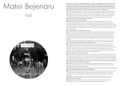# Matei Bejenaru

### Iasi



OS We met in 2001 when I was visiting Romania to research the development of the art scene for my masters' thesis and you were interested in doing a residency through Artslink but needed a partner organization in the States. You were managing a performance art festival in Iasi called Periferic and I was managing a multi-media arts festival called Around The Coyote in Chicago. So it worked well for the both of us. Why did Periferic turn into Vector and what was Vector intended to be?

MB The Periferic project started in 1997 in Iasi, Romania as a performance festival which transformed into and international contemporary art biennial in 2001. In the first years of Periferic, the organizers of the festival were private persons, like myself, but as the project began to develop, it became necessary that the organizer be an institution. Therefore in 2001 Vector Association was formed, composed of individuals whose goal was to promote contemporary art in Iasi and to develop a local art scene.

### OS What is the context in which Periferic operated?

### What were the specific challenges of lasi?

MB Periferic appeared at the end of the 90s in Romania, at a time when, despite the lack of art institutions, there were quite a lot of artists developing artistic projects. In Iasi, an important university center, there was almost nothing going on in the visual arts in those first years after the fall of communism, but rather only traditional art shows. A number of the students from that time, among which I count myself, were unhappy and this was the reason that we built this other form of project, which responds to other types of expectations.

### OS How was Periferic, and later Vector, funded?

MB In the first editions, Periferic was financed by foreign cultural institutions (Pro Helvetia, Center for Contemporary Art Soros, the French Cultural Center...). Ultimately, Vector Association applied to other granting agencies (European Cultural Foundation…) and some Romanian cultural institutions (the Ministry of Culture, the National Fund for Culture, the Romanian Cultural Center), as well as the local administration in Iasi (the City Hall). But always the foreign funds were the majority of the support we received.

### OS Who was Periferic's, and later Vector's, public? Do you feel that you were providing a needed service that was supported by those you intended to serve?

MB I would divide Periferic's public into two categories: the local public was made of students and young intellectuals. The public from outside of Iasi was represented by Romanian and international professionals from the art field (curators, artists, directors, and journalists). I think that Vector Association did a lot to develop a local art scene, but this association always functioned more as an artist-run institution, so it never succeeded, due to economic restraints and the traditional provincial mentality in Romania, to establish itself and hire professional managers and staff.

### OS What legacy do you think Periferic left?

MB I was for a long time the director of Periferic. The last edition that I organized was in 2008 and I don't think I'll continue. In retrospect, Periferic put Iasi on the international contemporary art map, and helped the development of a local art scene connected to the international one. It was a project that analyzed the modes and functions that contemporary visual art can have in this type of context – that of the city of Iasi. OS Do you feel that the residents of Iasi can become consumers and supporters of contemporary art? If so, what needs to be done for that to happen?

MB Yes, with the condition that even in Iasi there will be initiatives supported and funded by the local administration. Only an institution with a coherent and long-term programme that can also offer educational programs can build a local public.

### OS It is evident that relying on funds from the Romanian, but also from foreign, governments is proving to be an unsustainable model. But what is the alternative?

MB Money from the local administration (Iasi has to pay to have contemporary culture)as well as private ones (but here there's a danger that the organization will be a PR agent for the sponsor). I think it's important to have institutions with independent agendas (independent of political and commercial influence).

OS How can contemporary art activity survive and how can cultural workers make a living in contemporary art in Romania?

MB Through continued pressure so that the institutions ion Romania (the Ministry of Culture, The National Fund for Culture, the local administration) to sustain contemporary art.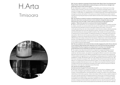## H.Arta Timisoara



OS You are a collective composed of three female artists: Maria Crista, Anca Gyemant and Rodica Tache. How do collaborations evolve among you, and how do you manage to set aside egos in favour of the common goal?

H Our collaboration is based on our friendship. Friendship, as an inherent part of our lives, fulfilling needs of intimacy, trust and communication, providing an everyday support in the practical contingencies of life, constituting a continual practice of negotiation in what concerns our ideas, our difficulties, our disagreements, our inherent hierarchies, ties private life with work and agency, emotion with politics. In this sense, we consider friendship as a useful model of working and living that goes beyond private relations and becomes a political way of interacting with others.

OS Your practice is a hybrid of cultural or social activism and art. You seem more concerned about the role art has in society and how it can be utilized to change the status quo than about the old "art for art's sake" routine. Have you found any concrete answers to the question, "What is the use of art in a country so full of social inequalities?"

H What is most important for us in our practice is to constantly question our position as artists, as citizens, as women, as cultural workers who are part of a system with all its contradictions and still with all its potential to produce meaningful analysis and critique. This work of continually examining one's own role and position cannot be done outside collective practices, outside collaborative work and inter-disciplinary practice, while we try to create models for work that bring theory as close as possible to practice. We consider art to be a good method of making this sort of work possible, of creating the situations for meaningful encounters and discussions. We think art can be used as a practical way of learning, of finding self-reflexive strategies of critique and change that are the result of cooperation and sharing by people from different fields and contexts. And we think that exactly in these times in which social inequities are even more deepened by the financial crises, in times when the last traces of some sort of social solidarity are dismantled, it is important to develop the possibilities that lie in a feminist art, as model of care and responsibility.

OS Also your practice is very concerned about actually engaging the public that you discuss in your projects. What has been their response to your work and how have they reacted to these projects? Do they recognize your projects as art or are they more interested in the social dimension? Do you feel that you have been successful in engaging them?

H Our projects, that many times took the form of spaces for analysis and debate of social issues, which were tackled in a direct form, without too many "artistic filters", had diverse audiences. By these projects, we wanted to bring together different voices from various fields, approaching the issues from their different perspectives and according to their experiences. In these projects we regarded art as a methodology of creating space and of hopefully finding strategies for change. We wanted to get to the raw material that could be the topic for art. We find it very important to be aware of this "raw material" (that are the social issues that were the basis for our projects) as an artist and as well as a citizen. It is not really important to us if our audience considers that what we do is art or not. What is truly important is that the audience considers that the topics we tackle are necessary and urgent, and from this point of view we think that our work was well understood most of the times.

### OS How do you sustain your practice?

### Are there sources of support for the work that you do?

H Although many parts of our projects were based on our own and our colleagues' unpaid work, we also managed to get funding for projects over the years. The process of getting funding, of writing applications, the double talk that it involves, the rhetoric of success that the relationship to the funders suppose, rhetoric that makes it difficult to have a realistic analysis of your work, the self-censorship, are aspects that are an intrinsic part of critical art production, something that we always keep in mind and try to analyze and reflect in our practice. Is there a possibility to be critical and alternative when visibility for your work is necessary in order to provoke a change and while visibility can be attained only if you have the resources? How can we prevent the fact that cultural critical projects are sometimes only vents that are sustaining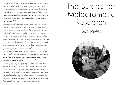the status quo, the fact that they can be sometimes only "proofs" that the system is democratic enough to sustain "plural" views, views that are condemned to remain sterile in their beautiful, intellectual clarity? We don't have a definite answer to these questions, but we think that one of the most relevant things that can be done in a field that is many times governed by appearances and hypocrisy is to make yourself aware of the gap between your words and your actual everyday life and decisions. One of our important interests and struggles is to try to go beyond the mere theoretical field of our ideas, concepts and words and to try to enact them in our daily lives, even if this struggle many times involves failure.

OS For me the most strident social issues in Romania are the gravely uneven distribution of wealth which lhas led people to consider capitalism as a great equalizer, and the high level of religiosity ever-present in the public and private spheres, which has led to nationalism but also to racism and bigotry. What do you feel are the most pressing problems and how are you tackling them?

H In Romania, one of the post '89 myths about what freedom and a good life means consisted in the idea that the capitalist system creates and guarantees democracy, that capitalism is a "natural" system whose efficiency is proved by the experience of the powerful countries of the "West." This idealisation of the capitalist system and all the propaganda in this sense has as a palpable effect the loss of everything that was gained in the communist times as rights that a large category of people had access to (rights such as access to free education, decent housing, the right to free medical care, guaranteed pensions, etc). Of course that the uncertainty and unfairness that have become the norm in the conditions opened by the financial crisis are not new for certain categories of people, for the ones that were always precarious and marginal. Even in communist times, when officially we were all equal, people did suffer for the colour of their skin, for example, even if this suffering was not always visible. But what is new is the fact that the suffering of those who are not wealthy enough, not educated enough, not "white" enough, not healthy enough, not competitive enough, not ruthless enough is now made official. Inequality is not seen anymore as an effect of a corrupt and unfair system, but it is declared a natural state, "survival of the fittest" being the rule that we should accept as a basis of the organisation of our society. And of course that religion, as an efficient instrument of manipulation, of social division, of creation and sustaining of hierarchies, serves very well the oppressive system, as it always did in the course of history.

For us, the way of addressing these problems is the constant attempt to make them visible in our projects and to make the awareness about these problems part of a process of everyday learning and living.

OS One of your past projects, Project Space of 2007, created within the context of Public Art Bucharest, was a physical space where discussions, meetings, and workshops were held, addressing the main issues of the social and political climate at that time. Who was your public then, and do you feel that these types of initiatives can really make a visible impact on the perceptions of members of the public?

H If at the beginning of our activity, in the first h.arta space that we conceived in Timisoara, our public consisted mostly of students and young artists, Project Space that functioned in the frame of Spatiul Public Bucuresti/Public Art Bucharest, and also Feminisms, a project space that we had in 2008–2009 in Timisoara, had a diverse public, consisting of persons with different backgrounds, while the number of artists and art students was smaller than in the case of the first h.arta space. Part of the public of the Project Space was constituted by the ones who gave it its contents, by the ones who contributed with presentations and workshops to its programme. Because Project Space was a meeting platforms for various fields, a debate space no longer relating exclusively to the art sphere, but with art used as a set of methods to work with a more complex content, our public not only became more diverse, but also the border between who is public and who is producer of content was blurred.

It is difficult to know what was the impact of such a project, to measure its success. But we are glad that new projects and new collaborations emerged and that some of those who initiate these new projects mention Project Space as an important moment for them.

# The Bureau for Melodramatic Research

### Bucharest

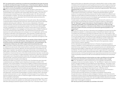OS Your practice aims to reveal how our emotions are manipulated by the power structures to create the narratives that support the status quo, or those structures' legitimacy. How did this interest develop? Can you give us some recent examples in Romania where melodrama was used to convince the population of a particular agenda?

**BMR** Ever since the beginning of its activity the Bureau has taken a critical view of the genderization (that is feminization) of emotion: the representation of the woman as a reservoir of sentimentality, built in opposition with a presumably masculine reason. This is part of a historical process of disciplining women, which reached a peak in the 19th century with the medicalization of hysteria. The women were gradually cast as over-emotional, irrational, dangerous beings in order to safely attach them to the domestic sphere and ensure the fulfillment of reproductive tasks.

On the other hand, emotion is presently taking over the public sphere. We are witnessing unrestrained pathos overflowing public discourse under the guise of technocratic objectivity insistently claimed by public institutions. This is not only a characteristic of Romanian institutional sphere. All across Europe and North America political rhetoric gets sentimental infusions, accompanying the neoconservative backlash. One of the local instances BMR has been investigating is the melodramatic re-writing of recent history by such institutions as IICCMER The Institute for the Investigation of Communist Crimes or CNSAS The National Council for Studying the Securitate Archives. Their official anticommunist discourse is backed by the current political power and contributes in turn to its legitimation, with the help of a positive re-affirmation of the interwar period. There have been consistent efforts from the Romanian neoconservative intellectuals to gild the 30's in a dramatic opposition to the communist period, thus dissimulating the scientific racism, antisemitism and eugenics of the period.

OS In much of your work and artistic statements, you express criticism towards corporate funding of the arts. In a country like Romania, whose government does not see funding the arts as a priority, and where the public is disconnected from, and uninterested in, the contemporary art discourse, who is left to support and fund practices like yours?

**BMR** The problem of state funding stands not only for Romania, but for the countries of the so-called former west as well, where rampant political conservatism goes hand in hand with the neoliberal economic doctrine. Moreover, the recent government cuts resulted from the global crisis of capitalism have affected a wide range of social areas, such as education, the health system, social security. There is no exceptional case of art and culture. In this respect, the pretension of autonomy that some of the artists and theoreticians have been recently trying to argue for is not a coincidence. It maybe expresses a financial worry rather than a theoretical preoccupation and in the present political context their claims are rather inappropriate and disproportionate. It would be a stronger position to focus on solidarity of art and culture with the general demands of broader social categories.

What about the state of art funding in the countries of the Third World who were historically constrained to look up to Western culture industries and internalize a condition of the peripheral, of the cultural subaltern? How are their struggles of resistance being supported? We have got most of the funding for our practice from foundations representing government and corporate interests alike in the countries of the former Soviet Bloc. We have received travel funds from the Romanian Cultural Institute and some years ago even from the Ministry of Culture. As for corporate funding, our main concern is that artists should be paid especially if they work to raise the symbolic capital of a bank or corporation by participating in an exhibition/ biennale/project. Last time when we participated in a project funded by a bank in Bucharest, we didn't receive any fee for our work - absolutely no financial support for our practice. This particular experience was the onset of a collective struggle of artists and other cultural workers alike for equitable compensation.

On the other hand, if we expect funds exclusively from banks and corporations, then it means we would have to accept only capitalism as a valid system and fall into the TINA\* (There is no alternative) ideology (a subversive linguistic remark is that "tina" in Romanian means "mud").

Again we think there is an alternative only through a collective effort to claim our labour rights in solidarity with the demands for social equality and economic justice of larger social groups such as the ones articulated by the Occupy Wall Street Movement, the Indignants and so on. OS How have your practice and projects been received by the general public? Who are you addressing with your work?

**BMR** We are addressing different audiences with our work, as every project we made was context-specific and focused on local issues. Therefore we generally address a specific audience. Our projects are oftentimes produced with the help of people from different social categories and with different professional background. We have rarely exhibited in museums, where, the public comes driven by a sort of an escapist urge to get away from daily routine and from the economic and social injustice they are faced with.

To better explain our approach we chose to illustrate this interview with a selection of our actions/performances whereby the involvement of a specific audience is made evident. OS The "Making Of" project at the Center for Visual Introspection in March of 2011 in collaboration with Stefan Tiron of Paradis Garaj, was a humorous, but also thorough, look at the effect of capitalism on Romanian society. What is a more sustainable and less destructive model for Romania, and why do you feel that the general population is not supporting it?

**BMR** If you put it like this, then all our interventions and investigations are examining the effect (and defects) of capitalism in contemporary society. In that particular instance it was more connected to the mechanisms of the field of art itself than many of our other projects: it was part of a series of events called Making-Of, which was supposed to be a retrospective reflection of one's own (artistic) practice. We decided to place copying and reading squarely at the center of our statement, taking into account key principles of the Bureau's activity: collaboration, dissemination, theft, copyleft, multiplying, pirating on one hand, and research, theorizing, interdisciplinarity on the other. It was a critique of the myth of the original artist, creative, unique, built as a model for capitalism.

As for an alternative and people's attachment to it in Romania, the general population›s support of capitalism is not as widespread as the mainstream conservative political discourse would like to prove. According to a recent very controversial opinion poll undertaken by the aforementioned IICCMER in collaboration with CSOP (Center for Studying Public Opinion and Market), 47% of the Romanians consider communism a good idea which was badly put into practice, and 63% consider having lived better before 1989, to the despair of the local anticommunist clan. And the percent seems to be rising directly proportional to the neo-liberal measures gradually imposed by the IMF and enthusiastically embraced by the local political power.

OS Do you feel that artists and cultural workers can make a real difference through their comments and criticisms? Do you feel political art has the ability to effect change?

**BMR** The "real difference" rhetoric has become too much engulfed in the advertising campaigns to have any emancipatory meaning. The "real difference" made by one or another product ultimately translates into social difference and class difference. The problem is who affords the "difference" in the first place and by which criteria. Capitalism is basically built on class difference and inbuilt divisions based on so-called "race", age and gender. How and on which level does one challenge the hierarchies built upon "difference" and its criteria? Isn't the "most real difference" the 99% compared to the 1%? Social inequality is growing in spite of the alleged social responsibility of the private sector.

Cultural workers and artists intervene on an epistemic and aesthetic level as well as through direct action to develop and reform strategies of resistance. Just have a look at the theoreticians involved in the Occupy Wall Street Movement and generally in the recent protest movements spread worldwide. On the other hand the edges between disciplines are not so sharply defined anymore, and therefore the artist, theoretician and political activist constantly switch roles in the struggle for resistance.

OS How do you think you will sustain your activities in the future?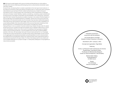**BMR** We have founded together with a group of artists and theoreticians an online platform, ArtLeaks which aims at collecting proofs and giving voice to cultural workers whose labor rights have been violated.

As we all know, volunteering (that is constant unpaid labor) is the main type of work artists do. In accordance to the ethical codes prescribed by suprademocratic (i.e. beyond the reach of people's vote) institutions such as those of the EU, artists could well serve as a model for this year's work-fashion as 2011 is the European Year of Volunteering. All the characteristics increasingly enforced on the labor market: flexibility, creativity, volunteering, uncertainty, project-oriented work (occasional work), time-based compensation are all embedded in the contemporary "bohemian" way of life. Not to mention the precarious condition of women in the context of the feminization of work brought about by the global expansion of capitalism. Women are more prone to part-time jobs because of the reproductive labor plus the care labor they have been traditionally assigned. Historically women have worked for lower wages, which from the point of view of capitalists is of course highly profitable, that's why entire sectors of the economy have been employing mainly feminine work force - for example the pink collar workers in the data entry industry. Having all these in mind, our position of women-artists living in Eastern Europe under the rabidly worsening economic conditions brought by the global crisis of capitalism determines our future means of subsistence. We are now in the course of completing a training program at Goethe-Institut to become German teachers. This will probably be the main way of sustaining BMR's activities in the future. We have always had a part-time job (mainly derived from our knowledge of German) from which we financed our volunteer artistic activity. Nevertheless, we will continue our struggle against the perpetual precarization and self-exploitation to which cultural workers are subjected due to the systematic refusal of art institutions (even when supported by banks or corporations) to pay fees for this type of labor. For these, there always seems to be a better and more profitable destination for a project's budget - to make glossy catalogues or bring together as many names as possible.

Publication produced in conjunction with the exhibition Just Another Brick in the Wall: Models of Artistic Production in Romania December 8, 2011— January 7, 2012 Concept and organization: Olga Stefan Featuring H.Arta / Lia Perjovschi with Contemporary Art Archive Paradis Garaj / Club Electro Putere The Bureau for Melodramatic Research Center for Visual Introspection / Plan B Gallery Barbara Seiler Gallery Anwandstrasse 67 CH 8004 Zurich Design: Timo Grimberg www.arc-mondial.com